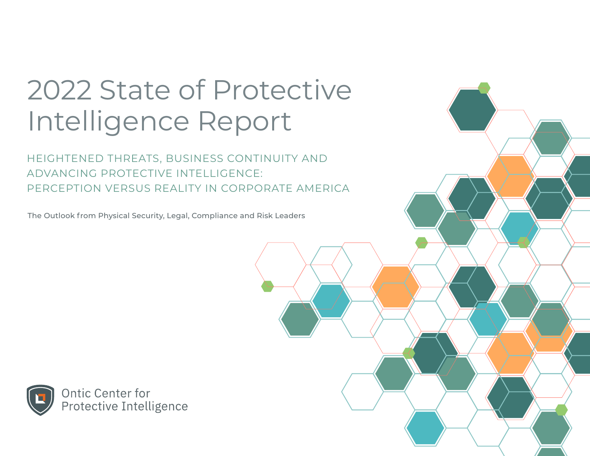# 2022 State of Protective Intelligence Report

HEIGHTENED THREATS, BUSINESS CONTINUITY AND ADVANCING PROTECTIVE INTELLIGENCE: PERCEPTION VERSUS REALITY IN CORPORATE AMERICA

The Outlook from Physical Security, Legal, Compliance and Risk Leaders

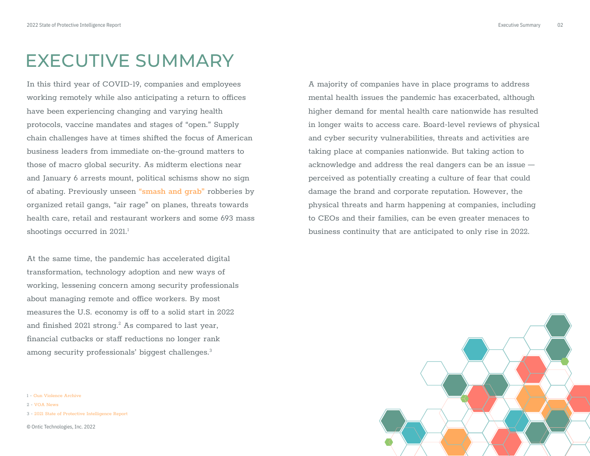### EXECUTIVE SUMMARY

In this third year of COVID-19, companies and employees working remotely while also anticipating a return to offices have been experiencing changing and varying health protocols, vaccine mandates and stages of "open." Supply chain challenges have at times shifted the focus of American business leaders from immediate on-the-ground matters to those of macro global security. As midterm elections near and January 6 arrests mount, political schisms show no sign of abating. Previously unseen **["smash and grab"](https://ontic.co/blog/3-ways-retail-security-teams-can-better-protect-shoppers-and-employees/)** robberies by organized retail gangs, "air rage" on planes, threats towards health care, retail and restaurant workers and some 693 mass shootings occurred in 2021.<sup>1</sup>

At the same time, the pandemic has accelerated digital transformation, technology adoption and new ways of working, lessening concern among security professionals about managing remote and office workers. By most measures the U.S. economy is off to a solid start in 2022 and finished 2021 strong. $^2$  As compared to last year, financial cutbacks or staff reductions no longer rank among security professionals' biggest challenges.<sup>3</sup>

1 [- Gun Violence Archive](https://www.gunviolencearchive.org/reports/mass-shooting?year=2021)

2 [- VOA News](https://www.voanews.com/a/us-economy-shows-strength-entering-2022-but-pandemic-clouds-future/6388798.html) 

3 [- 2021 State of Protective Intelligence Report](https://ontic.co/2021-state-of-protective-intelligence-report/)

© Ontic Technologies, Inc. 2022

A majority of companies have in place programs to address mental health issues the pandemic has exacerbated, although higher demand for mental health care nationwide has resulted in longer waits to access care. Board-level reviews of physical and cyber security vulnerabilities, threats and activities are taking place at companies nationwide. But taking action to acknowledge and address the real dangers can be an issue perceived as potentially creating a culture of fear that could damage the brand and corporate reputation. However, the physical threats and harm happening at companies, including to CEOs and their families, can be even greater menaces to business continuity that are anticipated to only rise in 2022.

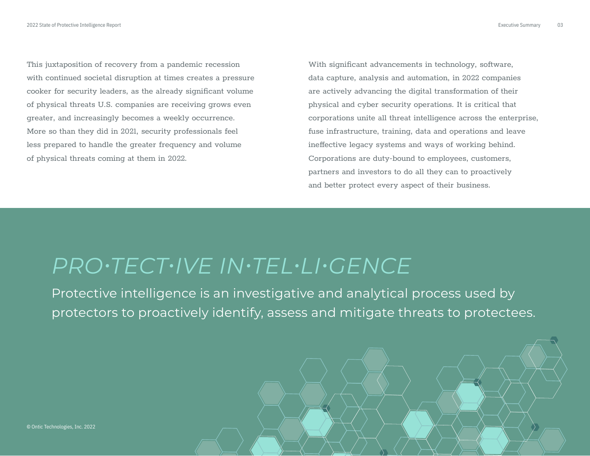This juxtaposition of recovery from a pandemic recession with continued societal disruption at times creates a pressure cooker for security leaders, as the already significant volume of physical threats U.S. companies are receiving grows even greater, and increasingly becomes a weekly occurrence. More so than they did in 2021, security professionals feel less prepared to handle the greater frequency and volume of physical threats coming at them in 2022.

With significant advancements in technology, software, data capture, analysis and automation, in 2022 companies are actively advancing the digital transformation of their physical and cyber security operations. It is critical that corporations unite all threat intelligence across the enterprise, fuse infrastructure, training, data and operations and leave ineffective legacy systems and ways of working behind. Corporations are duty-bound to employees, customers, partners and investors to do all they can to proactively and better protect every aspect of their business.

# *PRO•TECT•IVE IN•TEL•LI•GENCE*

Protective intelligence is an investigative and analytical process used by protectors to proactively identify, assess and mitigate threats to protectees.

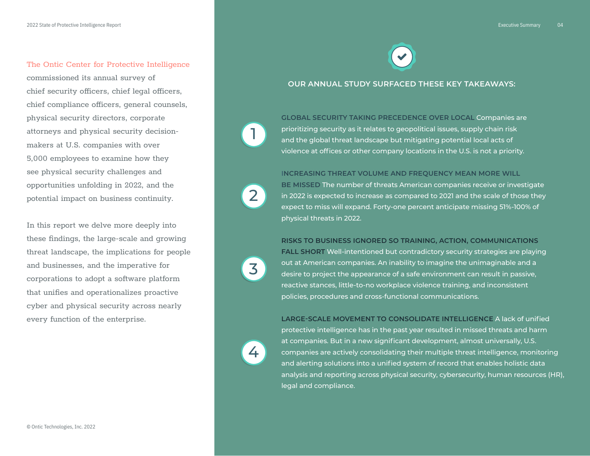The Ontic Center for Protective Intelligence

chief security officers, chief legal officers, chief compliance officers, general counsels,

attorneys and physical security decision-

In this report we delve more deeply into these findings, the large-scale and growing threat landscape, the implications for people

and businesses, and the imperative for corporations to adopt a software platform that unifies and operationalizes proactive cyber and physical security across nearly

every function of the enterprise.

commissioned its annual survey of

physical security directors, corporate

makers at U.S. companies with over 5,000 employees to examine how they see physical security challenges and opportunities unfolding in 2022, and the potential impact on business continuity.





### **OUR ANNUAL STUDY SURFACED THESE KEY TAKEAWAYS:**

**GLOBAL SECURITY TAKING PRECEDENCE OVER LOCAL** Companies are prioritizing security as it relates to geopolitical issues, supply chain risk and the global threat landscape but mitigating potential local acts of violence at offices or other company locations in the U.S. is not a priority.

**INCREASING THREAT VOLUME AND FREQUENCY MEAN MORE WILL** 

**BE MISSED** The number of threats American companies receive or investigate in 2022 is expected to increase as compared to 2021 and the scale of those they expect to miss will expand. Forty-one percent anticipate missing 51%-100% of physical threats in 2022.

**RISKS TO BUSINESS IGNORED SO TRAINING, ACTION, COMMUNICATIONS**

**FALL SHORT** Well-intentioned but contradictory security strategies are playing out at American companies. An inability to imagine the unimaginable and a desire to project the appearance of a safe environment can result in passive, reactive stances, little-to-no workplace violence training, and inconsistent policies, procedures and cross-functional communications.

**LARGE-SCALE MOVEMENT TO CONSOLIDATE INTELLIGENCE** A lack of unified protective intelligence has in the past year resulted in missed threats and harm at companies. But in a new significant development, almost universally, U.S. companies are actively consolidating their multiple threat intelligence, monitoring and alerting solutions into a unified system of record that enables holistic data analysis and reporting across physical security, cybersecurity, human resources (HR), legal and compliance.



1

3

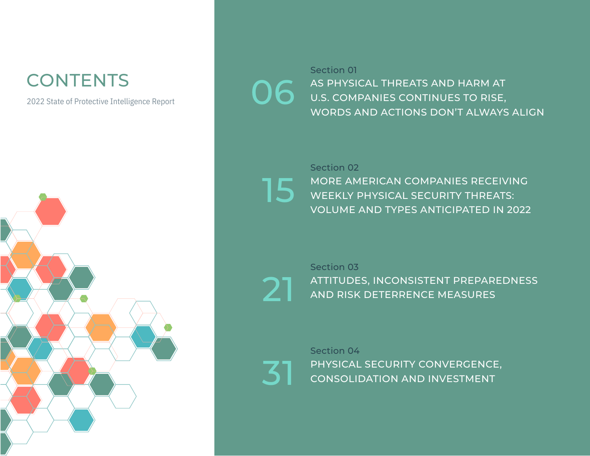# **CONTENTS**

2022 State of Protective Intelligence Report



AS PHYSICAL THREATS AND HARM AT **O.S.** AS PHYSICAL THREATS AND HARM AT U.S. COMPANIES CONTINUES TO RISE, WORDS AND ACTIONS DON'T ALWAYS ALIGN Section 01

15

MORE AMERICAN COMPANIES RECEIVING WEEKLY PHYSICAL SECURITY THREATS: [VOLUME AND TYPES ANTICIPATED IN 2022](#page-14-0) Section 02

**21** [ATTITUDES, INCONSISTENT PREPAREDNESS](#page-20-0)<br>21 AND RISK DETERRENCE MEASURES Section 03

[PHYSICAL SECURITY CONVERGENCE,](#page-30-0)<br>CONSOLIDATION AND INVESTMENT Section 04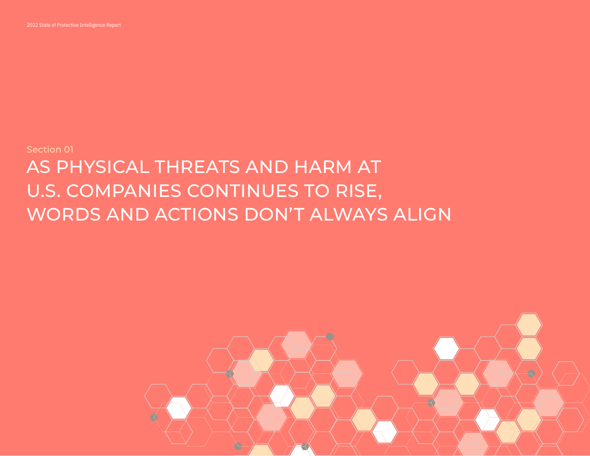

# Section 01 AS PHYSICAL THREATS AND HARM AT U.S. COMPANIES CONTINUES TO RISE, WORDS AND ACTIONS DON'T ALWAYS ALIGN

<span id="page-5-0"></span>2022 State of Protective Intelligence Report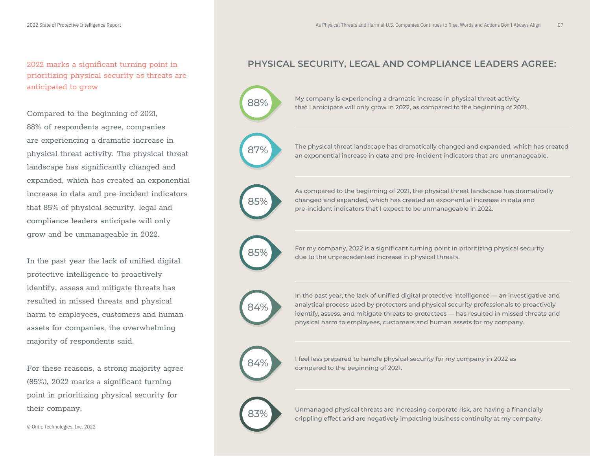prioritizing physical security as threats are anticipated to grow

Compared to the beginning of 2021, 88% of respondents agree, companies are experiencing a dramatic increase in physical threat activity. The physical threat landscape has significantly changed and expanded, which has created an exponential increase in data and pre-incident indicators that 85% of physical security, legal and compliance leaders anticipate will only grow and be unmanageable in 2022.

In the past year the lack of unified digital protective intelligence to proactively identify, assess and mitigate threats has resulted in missed threats and physical harm to employees, customers and human assets for companies, the overwhelming majority of respondents said.

For these reasons, a strong majority agree (85%), 2022 marks a significant turning point in prioritizing physical security for their company.

### 2022 marks a significant turning point in **PHYSICAL SECURITY, LEGAL AND COMPLIANCE LEADERS AGREE:**

88% My company is experiencing a dramatic increase in physical threat activity that I anticipate will only grow in 2022, as compared to the beginning of 2021.

**87%** The physical threat landscape has dramatically changed and expanded, which has created an exponential increase in data and pre-incident indicators that are unmanageable.

> As compared to the beginning of 2021, the physical threat landscape has dramatically changed and expanded, which has created an exponential increase in data and pre-incident indicators that I expect to be unmanageable in 2022.

**85%** For my company, 2022 is a significant turning point in prioritizing physical security due to the unprecedented increase in physical threats.



85%

In the past year, the lack of unified digital protective intelligence — an investigative and analytical process used by protectors and physical security professionals to proactively identify, assess, and mitigate threats to protectees — has resulted in missed threats and physical harm to employees, customers and human assets for my company.



**84%** I feel less prepared to handle physical security for my company in 2022 as compared to the beginning of 2021.

Unmanaged physical threats are increasing corporate risk, are having a financially crippling effect and are negatively impacting business continuity at my company.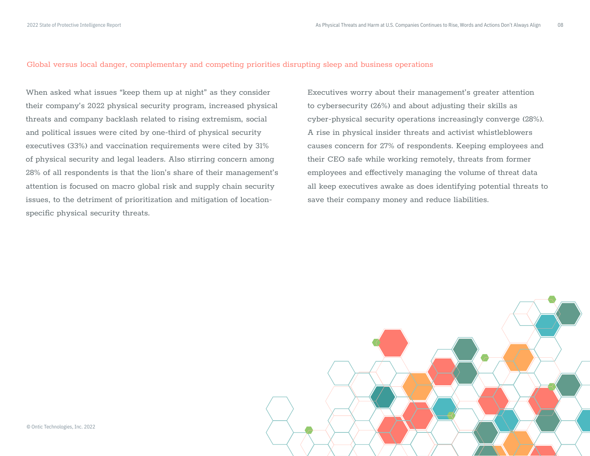Global versus local danger, complementary and competing priorities disrupting sleep and business operations

When asked what issues "keep them up at night" as they consider their company's 2022 physical security program, increased physical threats and company backlash related to rising extremism, social and political issues were cited by one-third of physical security executives (33%) and vaccination requirements were cited by 31% of physical security and legal leaders. Also stirring concern among 28% of all respondents is that the lion's share of their management's attention is focused on macro global risk and supply chain security issues, to the detriment of prioritization and mitigation of locationspecific physical security threats.

Executives worry about their management's greater attention to cybersecurity (26%) and about adjusting their skills as cyber-physical security operations increasingly converge (28%). A rise in physical insider threats and activist whistleblowers causes concern for 27% of respondents. Keeping employees and their CEO safe while working remotely, threats from former employees and effectively managing the volume of threat data all keep executives awake as does identifying potential threats to save their company money and reduce liabilities.

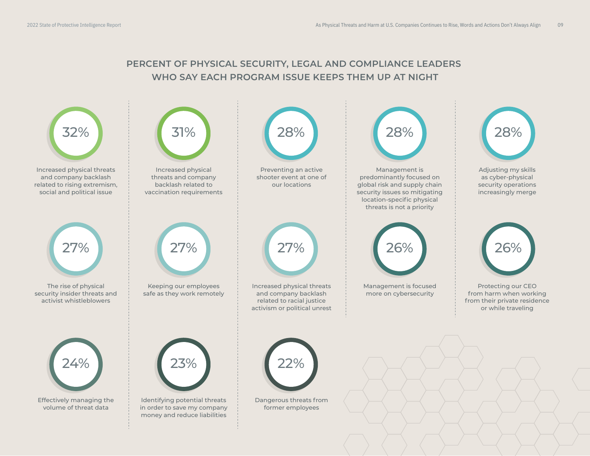### **PERCENT OF PHYSICAL SECURITY, LEGAL AND COMPLIANCE LEADERS WHO SAY EACH PROGRAM ISSUE KEEPS THEM UP AT NIGHT**

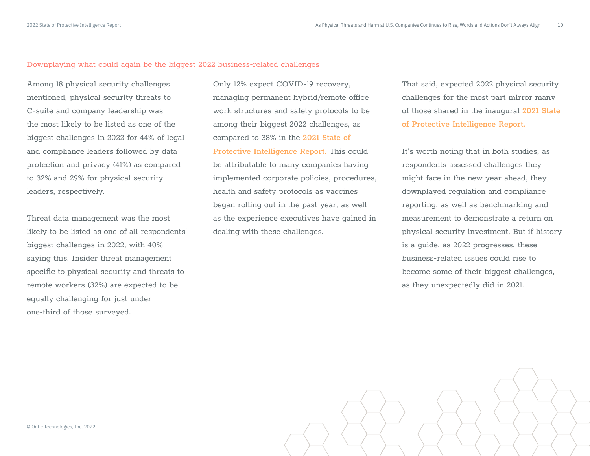#### Downplaying what could again be the biggest 2022 business-related challenges

Among 18 physical security challenges mentioned, physical security threats to C-suite and company leadership was the most likely to be listed as one of the biggest challenges in 2022 for 44% of legal and compliance leaders followed by data protection and privacy (41%) as compared to 32% and 29% for physical security leaders, respectively.

Threat data management was the most likely to be listed as one of all respondents' biggest challenges in 2022, with 40% saying this. Insider threat management specific to physical security and threats to remote workers (32%) are expected to be equally challenging for just under one-third of those surveyed.

Only 12% expect COVID-19 recovery, managing permanent hybrid/remote office work structures and safety protocols to be among their biggest 2022 challenges, as compared to 38% in the **[2021 State of](https://ontic.co/2021-state-of-protective-intelligence-report/)  [Protective Intelligence Report.](https://ontic.co/2021-state-of-protective-intelligence-report/)** This could be attributable to many companies having implemented corporate policies, procedures, health and safety protocols as vaccines began rolling out in the past year, as well as the experience executives have gained in dealing with these challenges.

That said, expected 2022 physical security challenges for the most part mirror many of those shared in the inaugural **[2021 State](https://ontic.co/2021-state-of-protective-intelligence-report/)  [of Protective Intelligence Report.](https://ontic.co/2021-state-of-protective-intelligence-report/)**

It's worth noting that in both studies, as respondents assessed challenges they might face in the new year ahead, they downplayed regulation and compliance reporting, as well as benchmarking and measurement to demonstrate a return on physical security investment. But if history is a guide, as 2022 progresses, these business-related issues could rise to become some of their biggest challenges, as they unexpectedly did in 2021.

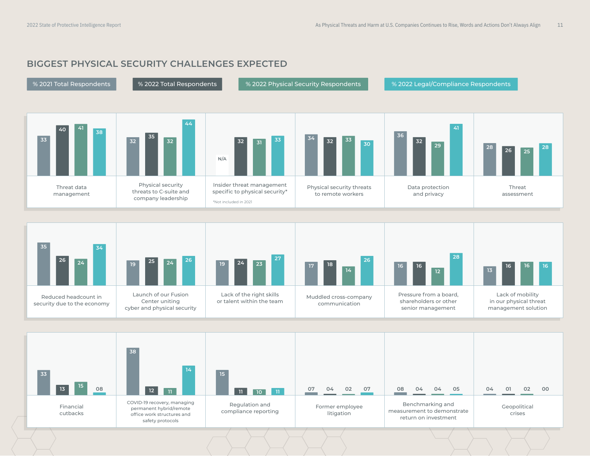### **BIGGEST PHYSICAL SECURITY CHALLENGES EXPECTED**





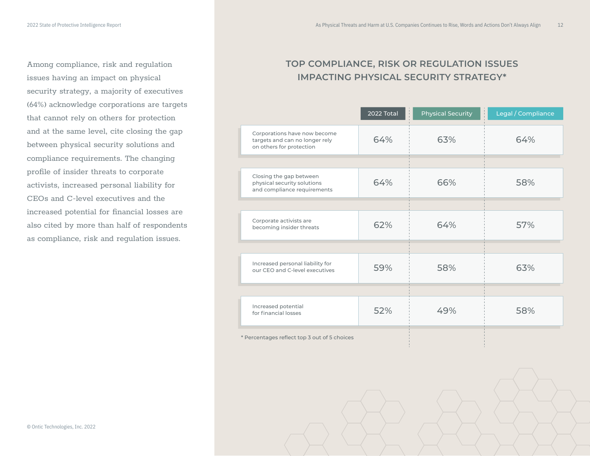Among compliance, risk and regulation issues having an impact on physical security strategy, a majority of executives (64%) acknowledge corporations are targets that cannot rely on others for protection and at the same level, cite closing the gap between physical security solutions and compliance requirements. The changing profile of insider threats to corporate activists, increased personal liability for CEOs and C-level executives and the increased potential for financial losses are also cited by more than half of respondents as compliance, risk and regulation issues.

### **TOP COMPLIANCE, RISK OR REGULATION ISSUES IMPACTING PHYSICAL SECURITY STRATEGY\***

|                                                                                            | 2022 Total | <b>Physical Security</b> | ţ.<br>Legal / Compliance |
|--------------------------------------------------------------------------------------------|------------|--------------------------|--------------------------|
| Corporations have now become<br>targets and can no longer rely<br>on others for protection | 64%        | 63%                      | 64%                      |
|                                                                                            |            |                          |                          |
| Closing the gap between<br>physical security solutions<br>and compliance requirements      | 64%        | 66%                      | 58%                      |
|                                                                                            |            |                          |                          |
| Corporate activists are<br>becoming insider threats                                        | 62%        | 64%                      | 57%                      |
|                                                                                            |            |                          |                          |
| Increased personal liability for<br>our CEO and C-level executives                         | 59%        | 58%                      | 63%                      |
|                                                                                            |            |                          |                          |
| Increased potential<br>for financial losses                                                | 52%        | 49%                      | 58%                      |
| * Percentages reflect top 3 out of 5 choices                                               |            |                          |                          |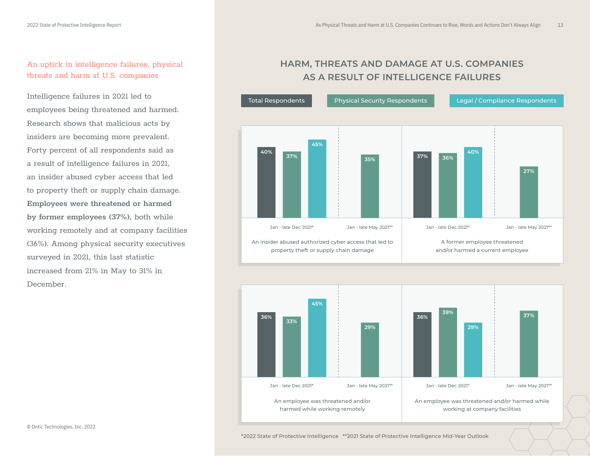### An uptick in intelligence failures, physical threats and harm at U.S. companies

Intelligence failures in 2021 led to employees being threatened and harmed. Research shows that malicious acts by insiders are becoming more prevalent. Forty percent of all respondents said as a result of intelligence failures in 2021, an insider abused cyber access that led to property theft or supply chain damage. **Employees were threatened or harmed by former employees (37%)**, both while working remotely and at company facilities (36%). Among physical security executives surveyed in 2021, this last statistic increased from 21% in May to 31% in December.

### **HARM, THREATS AND DAMAGE AT U.S. COMPANIES AS A RESULT OF INTELLIGENCE FAILURES**



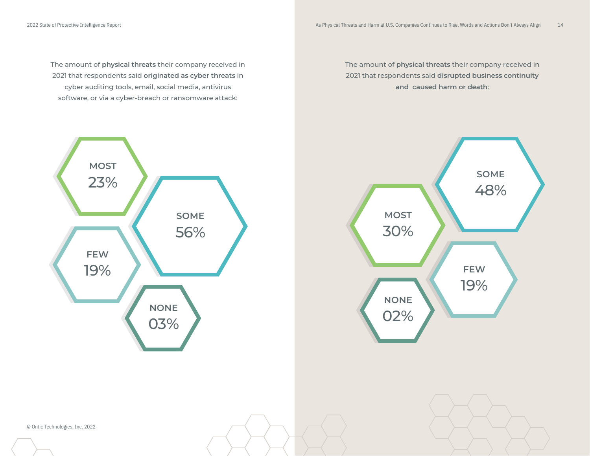The amount of **physical threats** their company received in 2021 that respondents said **originated as cyber threats** in cyber auditing tools, email, social media, antivirus software, or via a cyber-breach or ransomware attack:

The amount of **physical threats** their company received in 2021 that respondents said **disrupted business continuity and caused harm or death**:





© Ontic Technologies, Inc. 2022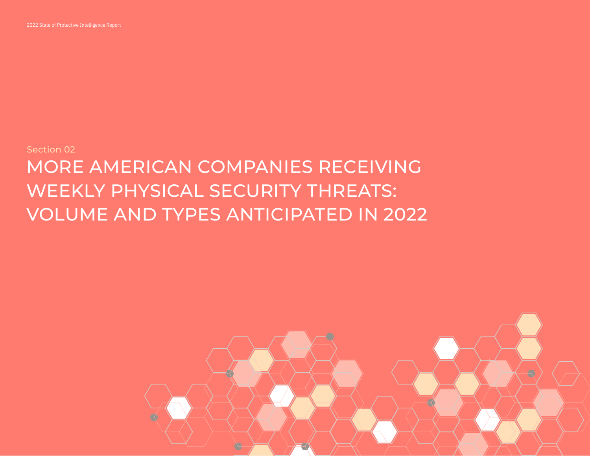

# <span id="page-14-0"></span>Section 02 MORE AMERICAN COMPANIES RECEIVING WEEKLY PHYSICAL SECURITY THREATS: VOLUME AND TYPES ANTICIPATED IN 2022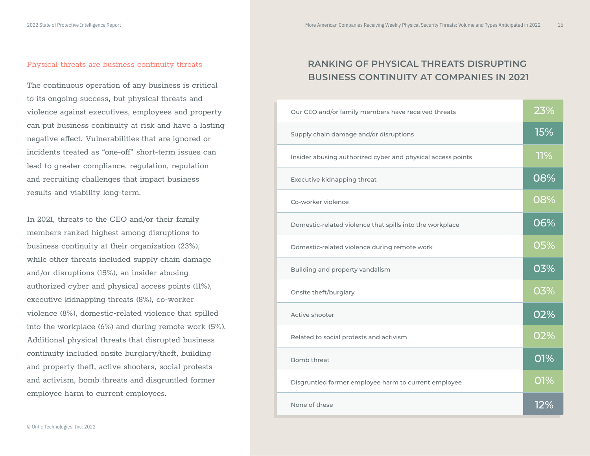### Physical threats are business continuity threats

The continuous operation of any business is critical to its ongoing success, but physical threats and violence against executives, employees and property can put business continuity at risk and have a lasting negative effect. Vulnerabilities that are ignored or incidents treated as "one-off" short-term issues can lead to greater compliance, regulation, reputation and recruiting challenges that impact business results and viability long-term.

In 2021, threats to the CEO and/or their family members ranked highest among disruptions to business continuity at their organization (23%), while other threats included supply chain damage and/or disruptions (15%), an insider abusing authorized cyber and physical access points (11%), executive kidnapping threats (8%), co-worker violence (8%), domestic-related violence that spilled into the workplace (6%) and during remote work (5%). Additional physical threats that disrupted business continuity included onsite burglary/theft, building and property theft, active shooters, social protests and activism, bomb threats and disgruntled former employee harm to current employees.

### **RANKING OF PHYSICAL THREATS DISRUPTING BUSINESS CONTINUITY AT COMPANIES IN 2021**

| Our CEO and/or family members have received threats         | 23%        |
|-------------------------------------------------------------|------------|
| Supply chain damage and/or disruptions                      | <b>15%</b> |
| Insider abusing authorized cyber and physical access points | 11%        |
| Executive kidnapping threat                                 | 08%        |
| Co-worker violence                                          | 08%        |
| Domestic-related violence that spills into the workplace    | 06%        |
| Domestic-related violence during remote work                | 05%        |
| Building and property vandalism                             | 03%        |
| Onsite theft/burglary                                       | 03%        |
| Active shooter                                              | 02%        |
| Related to social protests and activism                     | 02%        |
| Bomb threat                                                 | 01%        |
| Disgruntled former employee harm to current employee        | 01%        |
| None of these                                               | 12%        |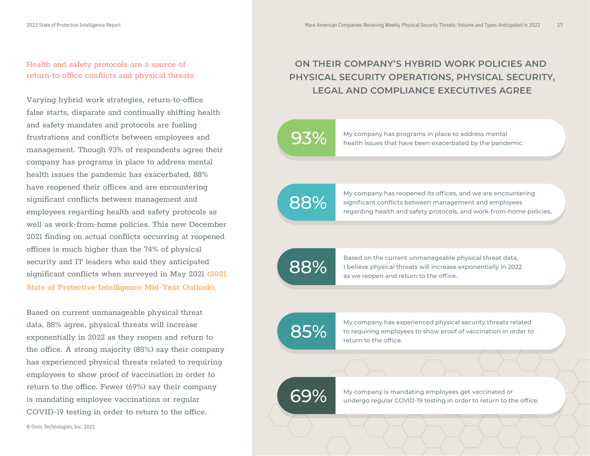### Health and safety protocols are a source of return-to-office conflicts and physical threats

Varying hybrid work strategies, return-to-office false starts, disparate and continually shifting health and safety mandates and protocols are fueling frustrations and conflicts between employees and management. Though 93% of respondents agree their company has programs in place to address mental health issues the pandemic has exacerbated, 88% have reopened their offices and are encountering significant conflicts between management and employees regarding health and safety protocols as well as work-from-home policies. This new December 2021 finding on actual conflicts occurring at reopened offices is much higher than the 74% of physical security and IT leaders who said they anticipated significant conflicts when surveyed in May 2021 (2021 **[State of Protective Intelligence Mid-Year Outlook\).](https://ontic.co/2021-mid-year-outlook-state-of-protective-intelligence-report/)**

Based on current unmanageable physical threat data, 88% agree, physical threats will increase exponentially in 2022 as they reopen and return to the office. A strong majority (85%) say their company has experienced physical threats related to requiring employees to show proof of vaccination in order to return to the office. Fewer (69%) say their company is mandating employee vaccinations or regular COVID-19 testing in order to return to the office.

**ON THEIR COMPANY'S HYBRID WORK POLICIES AND PHYSICAL SECURITY OPERATIONS, PHYSICAL SECURITY, LEGAL AND COMPLIANCE EXECUTIVES AGREE**



**93%** My company has programs in place to address mental health issues that have been exacerbated by the pandemic.

88%

My company has reopened its offices, and we are encountering significant conflicts between management and employees regarding health and safety protocols, and work-from-home policies.

88%

Based on the current unmanageable physical threat data, I believe physical threats will increase exponentially in 2022 as we reopen and return to the office.

85%

My company has experienced physical security threats related to requiring employees to show proof of vaccination in order to return to the office.

69%

My company is mandating employees get vaccinated or undergo regular COVID-19 testing in order to return to the office.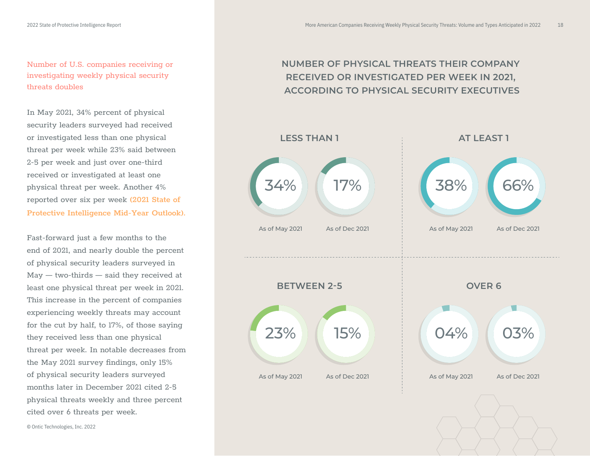Number of U.S. companies receiving or investigating weekly physical security threats doubles

In May 2021, 34% percent of physical security leaders surveyed had received or investigated less than one physical threat per week while 23% said between 2-5 per week and just over one-third received or investigated at least one physical threat per week. Another 4% reported over six per week **[\(2021 State of](https://ontic.co/2021-mid-year-outlook-state-of-protective-intelligence-report/)  [Protective Intelligence Mid-Year Outlook\).](https://ontic.co/2021-mid-year-outlook-state-of-protective-intelligence-report/)** 

Fast-forward just a few months to the end of 2021, and nearly double the percent of physical security leaders surveyed in May — two-thirds — said they received at least one physical threat per week in 2021. This increase in the percent of companies experiencing weekly threats may account for the cut by half, to 17%, of those saying they received less than one physical threat per week. In notable decreases from the May 2021 survey findings, only 15% of physical security leaders surveyed months later in December 2021 cited 2-5 physical threats weekly and three percent cited over 6 threats per week.

### **NUMBER OF PHYSICAL THREATS THEIR COMPANY RECEIVED OR INVESTIGATED PER WEEK IN 2021, ACCORDING TO PHYSICAL SECURITY EXECUTIVES**

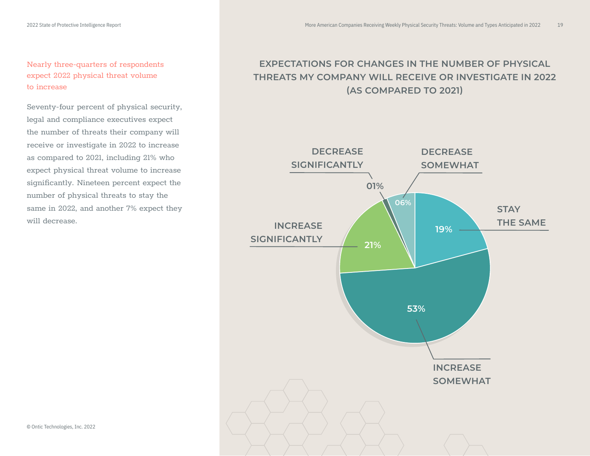Seventy-four percent of physical security, legal and compliance executives expect the number of threats their company will receive or investigate in 2022 to increase as compared to 2021, including 21% who expect physical threat volume to increase significantly. Nineteen percent expect the number of physical threats to stay the same in 2022, and another 7% expect they will decrease.

### **EXPECTATIONS FOR CHANGES IN THE NUMBER OF PHYSICAL THREATS MY COMPANY WILL RECEIVE OR INVESTIGATE IN 2022 (AS COMPARED TO 2021)**



© Ontic Technologies, Inc. 2022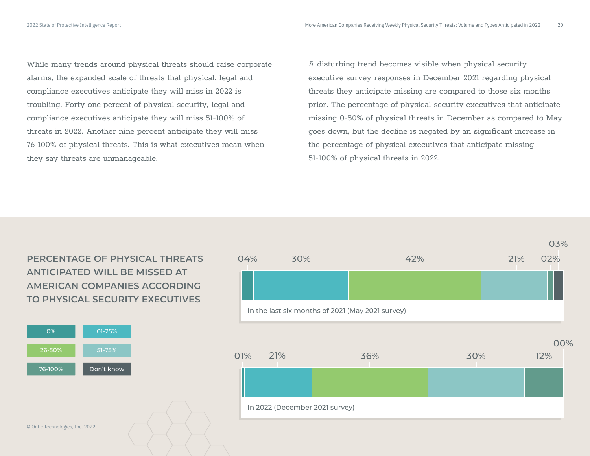While many trends around physical threats should raise corporate alarms, the expanded scale of threats that physical, legal and compliance executives anticipate they will miss in 2022 is troubling. Forty-one percent of physical security, legal and compliance executives anticipate they will miss 51-100% of threats in 2022. Another nine percent anticipate they will miss 76-100% of physical threats. This is what executives mean when they say threats are unmanageable.

A disturbing trend becomes visible when physical security executive survey responses in December 2021 regarding physical threats they anticipate missing are compared to those six months prior. The percentage of physical security executives that anticipate missing 0-50% of physical threats in December as compared to May goes down, but the decline is negated by an significant increase in the percentage of physical executives that anticipate missing 51-100% of physical threats in 2022.

**PERCENTAGE OF PHYSICAL THREATS ANTICIPATED WILL BE MISSED AT AMERICAN COMPANIES ACCORDING TO PHYSICAL SECURITY EXECUTIVES** 



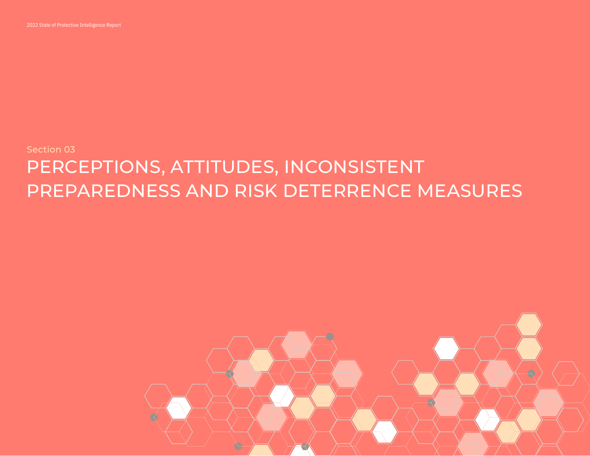

## Section 03 PERCEPTIONS, ATTITUDES, INCONSISTENT PREPAREDNESS AND RISK DETERRENCE MEASURES

<span id="page-20-0"></span>2022 State of Protective Intelligence Report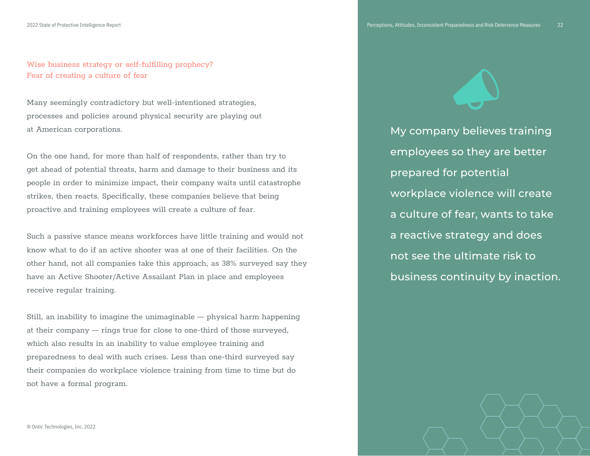Wise business strategy or self-fulfilling prophecy? Fear of creating a culture of fear

Many seemingly contradictory but well-intentioned strategies, processes and policies around physical security are playing out at American corporations.

On the one hand, for more than half of respondents, rather than try to get ahead of potential threats, harm and damage to their business and its people in order to minimize impact, their company waits until catastrophe strikes, then reacts. Specifically, these companies believe that being proactive and training employees will create a culture of fear.

Such a passive stance means workforces have little training and would not know what to do if an active shooter was at one of their facilities. On the other hand, not all companies take this approach, as 38% surveyed say they have an Active Shooter/Active Assailant Plan in place and employees receive regular training.

Still, an inability to imagine the unimaginable — physical harm happening at their company — rings true for close to one-third of those surveyed, which also results in an inability to value employee training and preparedness to deal with such crises. Less than one-third surveyed say their companies do workplace violence training from time to time but do not have a formal program.

My company believes training employees so they are better prepared for potential workplace violence will create a culture of fear, wants to take a reactive strategy and does not see the ultimate risk to business continuity by inaction.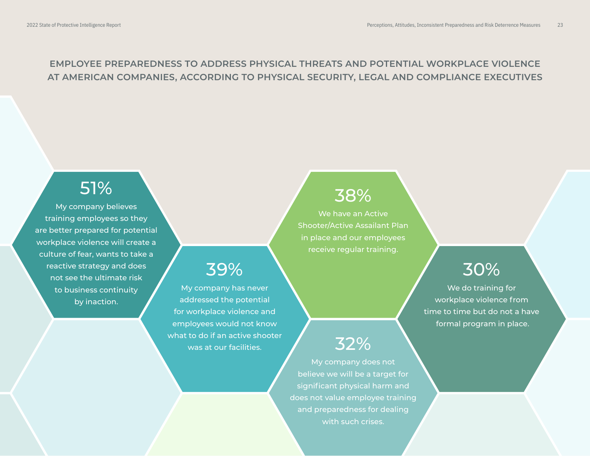### **EMPLOYEE PREPAREDNESS TO ADDRESS PHYSICAL THREATS AND POTENTIAL WORKPLACE VIOLENCE AT AMERICAN COMPANIES, ACCORDING TO PHYSICAL SECURITY, LEGAL AND COMPLIANCE EXECUTIVES**

My company has never addressed the potential for workplace violence and employees would not know what to do if an active shooter was at our facilities.

39%

### 51%

My company believes training employees so they are better prepared for potential workplace violence will create a culture of fear, wants to take a reactive strategy and does not see the ultimate risk to business continuity by inaction.

### 38%

We have an Active Shooter/Active Assailant Plan in place and our employees receive regular training.

## 30%

We do training for workplace violence from time to time but do not a have formal program in place.

### 32%

My company does not believe we will be a target for significant physical harm and does not value employee training and preparedness for dealing with such crises.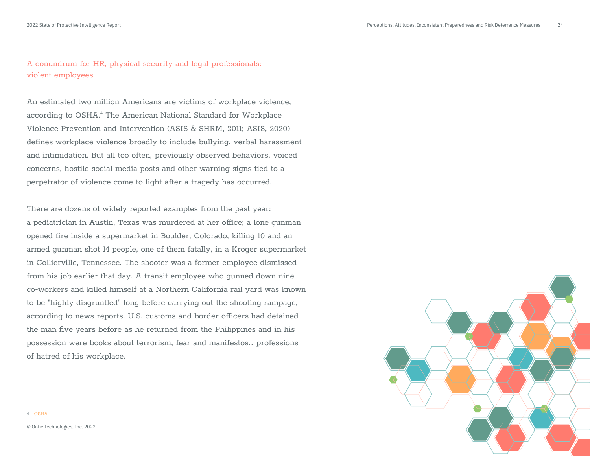### A conundrum for HR, physical security and legal professionals: violent employees

An estimated two million Americans are victims of workplace violence, according to OSHA.<sup>4</sup> The American National Standard for Workplace Violence Prevention and Intervention (ASIS & SHRM, 2011; ASIS, 2020) defines workplace violence broadly to include bullying, verbal harassment and intimidation. But all too often, previously observed behaviors, voiced concerns, hostile social media posts and other warning signs tied to a perpetrator of violence come to light after a tragedy has occurred.

There are dozens of widely reported examples from the past year: a pediatrician in Austin, Texas was murdered at her office; a lone qunman opened fire inside a supermarket in Boulder, Colorado, killing 10 and an armed gunman shot 14 people, one of them fatally, in a Kroger supermarket in Collierville, Tennessee. The shooter was a former employee dismissed from his job earlier that day. A transit employee who gunned down nine co-workers and killed himself at a Northern California rail yard was known to be "highly disgruntled" long before carrying out the shooting rampage, according to news reports. U.S. customs and border officers had detained the man five years before as he returned from the Philippines and in his possession were books about terrorism, fear and manifestos… professions of hatred of his workplace.



© Ontic Technologies, Inc. 2022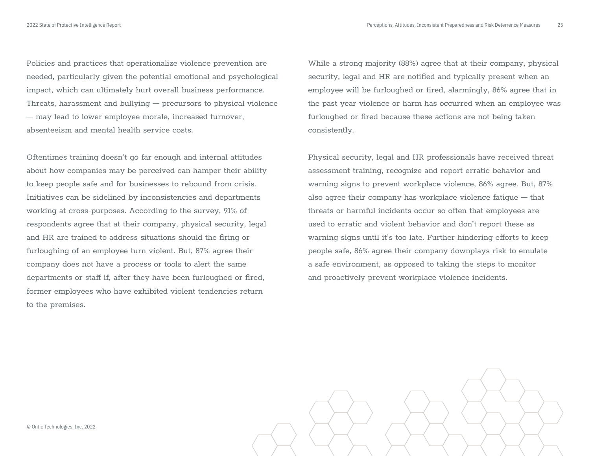Policies and practices that operationalize violence prevention are needed, particularly given the potential emotional and psychological impact, which can ultimately hurt overall business performance. Threats, harassment and bullying — precursors to physical violence — may lead to lower employee morale, increased turnover, absenteeism and mental health service costs.

Oftentimes training doesn't go far enough and internal attitudes about how companies may be perceived can hamper their ability to keep people safe and for businesses to rebound from crisis. Initiatives can be sidelined by inconsistencies and departments working at cross-purposes. According to the survey, 91% of respondents agree that at their company, physical security, legal and HR are trained to address situations should the firing or furloughing of an employee turn violent. But, 87% agree their company does not have a process or tools to alert the same departments or staff if, after they have been furloughed or fired, former employees who have exhibited violent tendencies return to the premises.

While a strong majority (88%) agree that at their company, physical security, legal and HR are notified and typically present when an employee will be furloughed or fired, alarmingly, 86% agree that in the past year violence or harm has occurred when an employee was furloughed or fired because these actions are not being taken consistently.

Physical security, legal and HR professionals have received threat assessment training, recognize and report erratic behavior and warning signs to prevent workplace violence, 86% agree. But, 87% also agree their company has workplace violence fatigue — that threats or harmful incidents occur so often that employees are used to erratic and violent behavior and don't report these as warning signs until it's too late. Further hindering efforts to keep people safe, 86% agree their company downplays risk to emulate a safe environment, as opposed to taking the steps to monitor and proactively prevent workplace violence incidents.

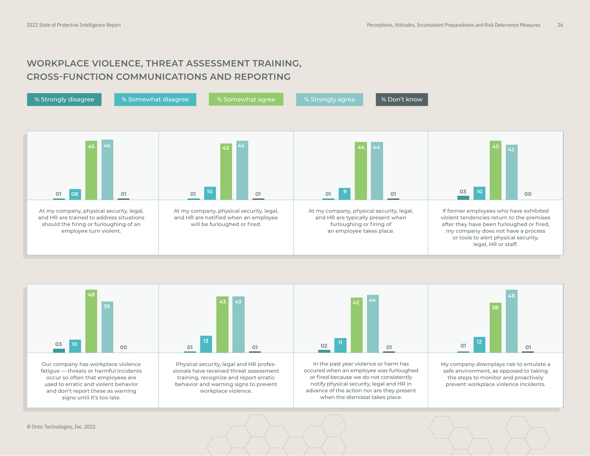### **WORKPLACE VIOLENCE, THREAT ASSESSMENT TRAINING, CROSS-FUNCTION COMMUNICATIONS AND REPORTING**





Our company has workplace violence fatigue — threats or harmful incidents occur so often that employees are used to erratic and violent behavior and don't report these as warning signs until it's too late.



Physical security, legal and HR professionals have received threat assessment training, recognize and report erratic behavior and warning signs to prevent workplace violence.



In the past year violence or harm has occured when an employee was furloughed or fired because we do not consistently notify physical security, legal and HR in advance of the action nor are they present when the dismissal takes place.



My company downplays risk to emulate a safe environment, as opposed to taking the steps to monitor and proactively prevent workplace violence incidents.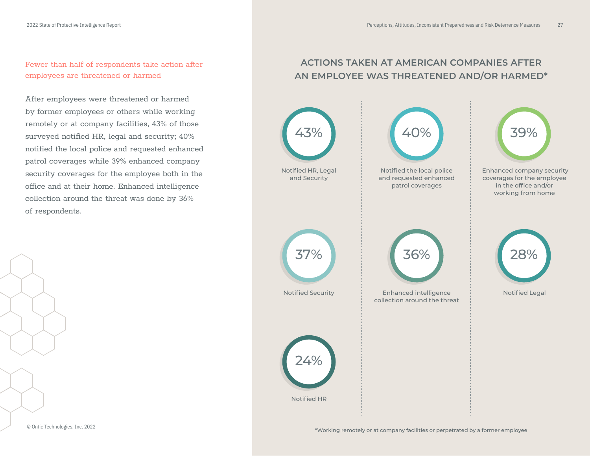Fewer than half of respondents take action after employees are threatened or harmed

After employees were threatened or harmed by former employees or others while working remotely or at company facilities, 43% of those surveyed notified HR, legal and security; 40% notified the local police and requested enhanced patrol coverages while 39% enhanced company security coverages for the employee both in the office and at their home. Enhanced intelligence collection around the threat was done by 36% of respondents.

### **ACTIONS TAKEN AT AMERICAN COMPANIES AFTER AN EMPLOYEE WAS THREATENED AND/OR HARMED\***

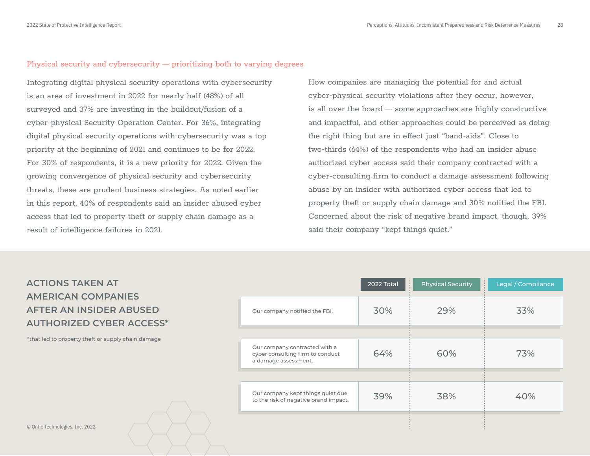### Physical security and cybersecurity — prioritizing both to varying degrees

Integrating digital physical security operations with cybersecurity is an area of investment in 2022 for nearly half (48%) of all surveyed and 37% are investing in the buildout/fusion of a cyber-physical Security Operation Center. For 36%, integrating digital physical security operations with cybersecurity was a top priority at the beginning of 2021 and continues to be for 2022. For 30% of respondents, it is a new priority for 2022. Given the growing convergence of physical security and cybersecurity threats, these are prudent business strategies. As noted earlier in this report, 40% of respondents said an insider abused cyber access that led to property theft or supply chain damage as a result of intelligence failures in 2021.

How companies are managing the potential for and actual cyber-physical security violations after they occur, however, is all over the board — some approaches are highly constructive and impactful, and other approaches could be perceived as doing the right thing but are in effect just "band-aids". Close to two-thirds (64%) of the respondents who had an insider abuse authorized cyber access said their company contracted with a cyber-consulting firm to conduct a damage assessment following abuse by an insider with authorized cyber access that led to property theft or supply chain damage and 30% notified the FBI. Concerned about the risk of negative brand impact, though, 39% said their company "kept things quiet."

| <b>ACTIONS TAKEN AT</b>         |
|---------------------------------|
| <b>AMERICAN COMPANIES</b>       |
| AFTER AN INSIDER ABUSED         |
| <b>AUTHORIZED CYBER ACCESS*</b> |

\*that led to property theft or supply chain damage

|                                                                                           | 2022 Total | ŧ.<br><b>Physical Security</b> | Legal / Compliance |
|-------------------------------------------------------------------------------------------|------------|--------------------------------|--------------------|
| Our company notified the FBI.                                                             | 30%        | 29%                            | 33%                |
|                                                                                           |            |                                |                    |
| Our company contracted with a<br>cyber consulting firm to conduct<br>a damage assessment. | 64%        | 60%                            | 73%                |
|                                                                                           |            |                                |                    |
| Our company kept things quiet due<br>to the risk of negative brand impact.                | 39%        | 38%                            | 40%                |
|                                                                                           |            |                                |                    |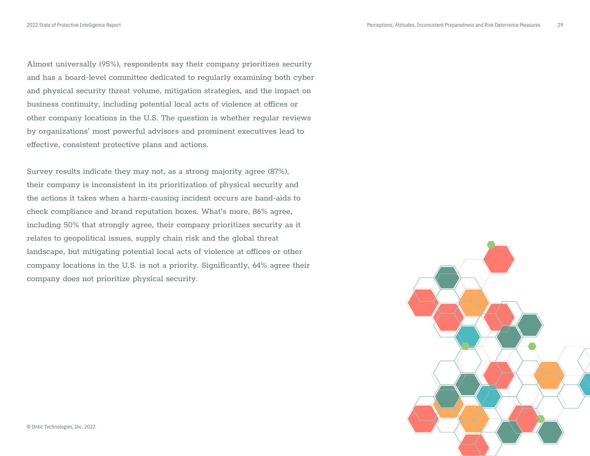Almost universally (95%), respondents say their company prioritizes security and has a board-level committee dedicated to regularly examining both cyber and physical security threat volume, mitigation strategies, and the impact on business continuity, including potential local acts of violence at offices or other company locations in the U.S. The question is whether regular reviews by organizations' most powerful advisors and prominent executives lead to effective, consistent protective plans and actions.

Survey results indicate they may not, as a strong majority agree (87%), their company is inconsistent in its prioritization of physical security and the actions it takes when a harm-causing incident occurs are band-aids to check compliance and brand reputation boxes. What's more, 86% agree, including 50% that strongly agree, their company prioritizes security as it relates to geopolitical issues, supply chain risk and the global threat landscape, but mitigating potential local acts of violence at offices or other company locations in the U.S. is not a priority. Significantly, 64% agree their company does not prioritize physical security.

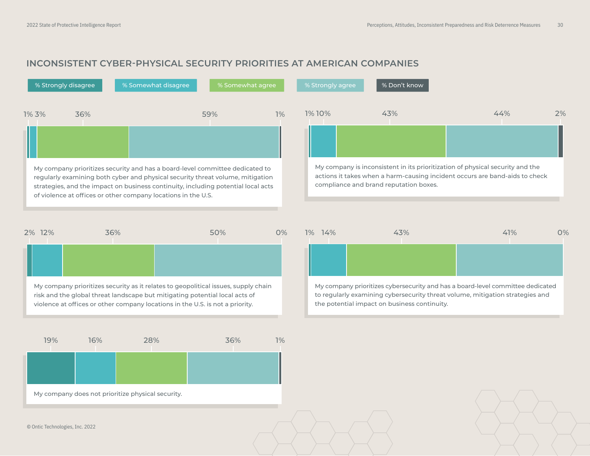### **INCONSISTENT CYBER-PHYSICAL SECURITY PRIORITIES AT AMERICAN COMPANIES**

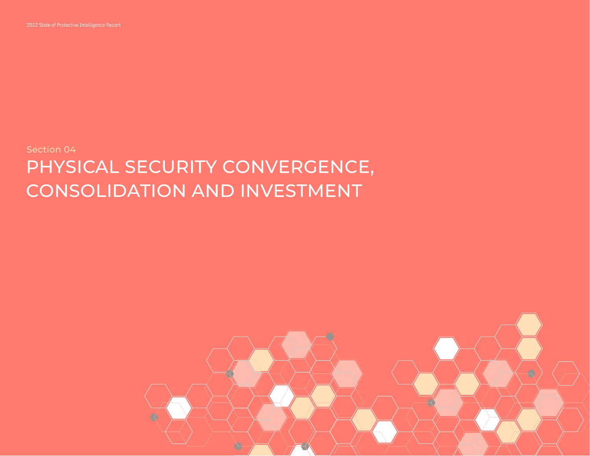

## Section 04 PHYSICAL SECURITY CONVERGENCE, CONSOLIDATION AND INVESTMENT

<span id="page-30-0"></span>2022 State of Protective Intelligence Report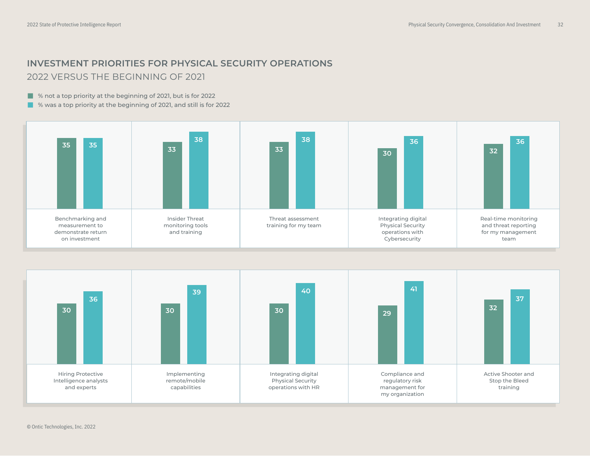### **INVESTMENT PRIORITIES FOR PHYSICAL SECURITY OPERATIONS**  2022 VERSUS THE BEGINNING OF 2021

■ % not a top priority at the beginning of 2021, but is for 2022

■ % was a top priority at the beginning of 2021, and still is for 2022



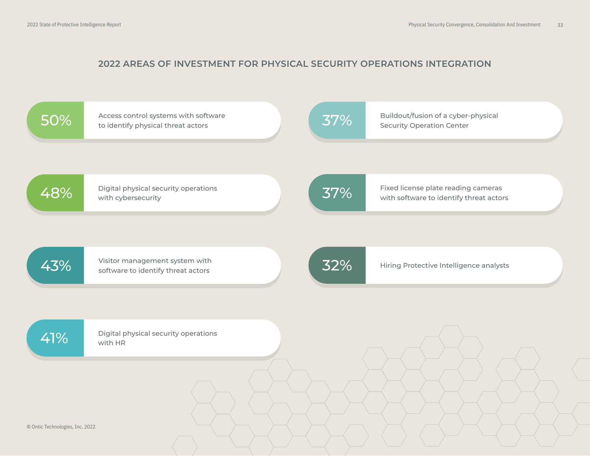### **2022 AREAS OF INVESTMENT FOR PHYSICAL SECURITY OPERATIONS INTEGRATION**

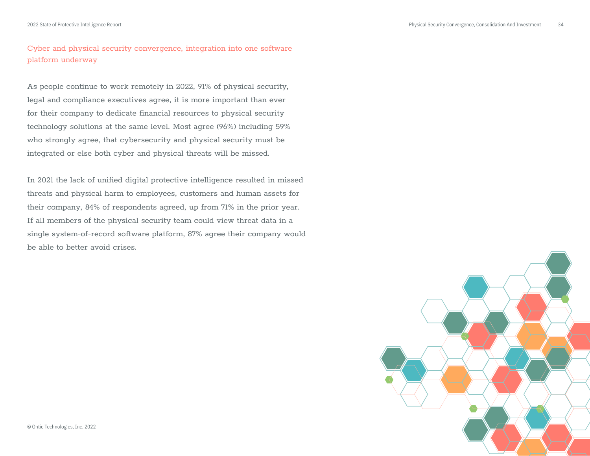### Cyber and physical security convergence, integration into one software platform underway

As people continue to work remotely in 2022, 91% of physical security, legal and compliance executives agree, it is more important than ever for their company to dedicate financial resources to physical security technology solutions at the same level. Most agree (96%) including 59% who strongly agree, that cybersecurity and physical security must be integrated or else both cyber and physical threats will be missed.

In 2021 the lack of unified digital protective intelligence resulted in missed threats and physical harm to employees, customers and human assets for their company, 84% of respondents agreed, up from 71% in the prior year. If all members of the physical security team could view threat data in a single system-of-record software platform, 87% agree their company would be able to better avoid crises.

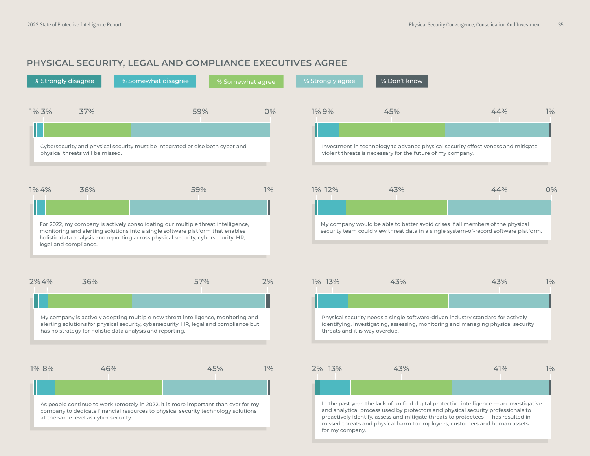### **PHYSICAL SECURITY, LEGAL AND COMPLIANCE EXECUTIVES AGREE**

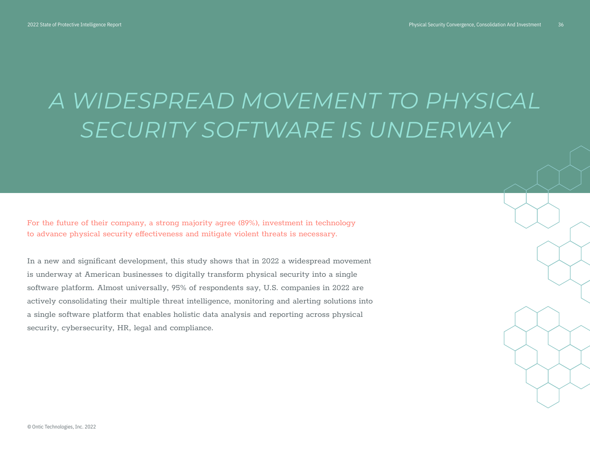# *A WIDESPREAD MOVEMENT TO PHYSICAL SECURITY SOFTWARE IS UNDERWAY*

For the future of their company, a strong majority agree (89%), investment in technology to advance physical security effectiveness and mitigate violent threats is necessary.

In a new and significant development, this study shows that in 2022 a widespread movement is underway at American businesses to digitally transform physical security into a single software platform. Almost universally, 95% of respondents say, U.S. companies in 2022 are actively consolidating their multiple threat intelligence, monitoring and alerting solutions into a single software platform that enables holistic data analysis and reporting across physical security, cybersecurity, HR, legal and compliance.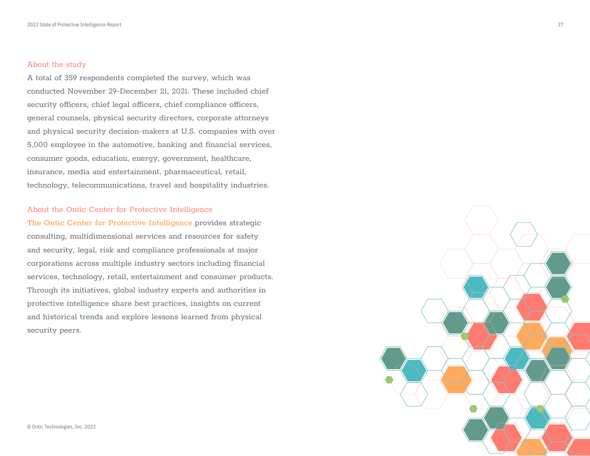#### About the study

A total of 359 respondents completed the survey, which was conducted November 29-December 21, 2021. These included chief security officers, chief legal officers, chief compliance officers, general counsels, physical security directors, corporate attorneys and physical security decision-makers at U.S. companies with over 5,000 employee in the automotive, banking and financial services, consumer goods, education, energy, government, healthcare, insurance, media and entertainment, pharmaceutical, retail, technology, telecommunications, travel and hospitality industries.

#### About the Ontic Center for Protective Intelligence

**[The Ontic Center for Protective Intelligence](https://ontic.co/center-for-protective-intelligence/)** provides strategic consulting, multidimensional services and resources for safety and security, legal, risk and compliance professionals at major corporations across multiple industry sectors including financial services, technology, retail, entertainment and consumer products. Through its initiatives, global industry experts and authorities in protective intelligence share best practices, insights on current and historical trends and explore lessons learned from physical security peers.

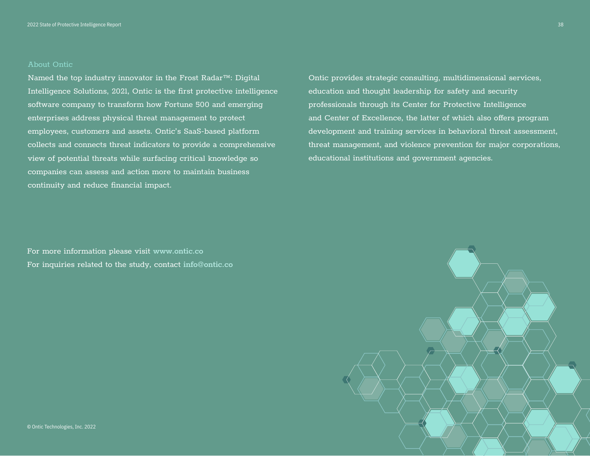#### About Ontic

Named the top industry innovator in the Frost Radar™: Digital Intelligence Solutions, 2021, Ontic is the first protective intelligence software company to transform how Fortune 500 and emerging enterprises address physical threat management to protect employees, customers and assets. Ontic's SaaS-based platform collects and connects threat indicators to provide a comprehensive view of potential threats while surfacing critical knowledge so companies can assess and action more to maintain business continuity and reduce financial impact.

For more information please visit **[www.ontic.co](https://ontic.co/)** For inquiries related to the study, contact **[info@ontic.co](mailto:info@ontic.co)** Ontic provides strategic consulting, multidimensional services, education and thought leadership for safety and security professionals through its Center for Protective Intelligence and Center of Excellence, the latter of which also offers program development and training services in behavioral threat assessment, threat management, and violence prevention for major corporations, educational institutions and government agencies.

![](_page_37_Figure_5.jpeg)

38